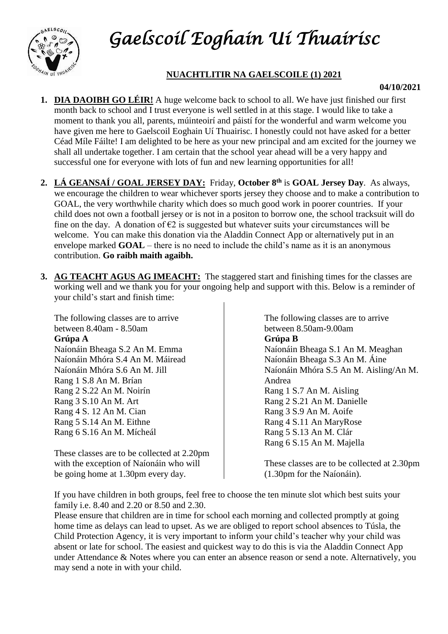



## **NUACHTLITIR NA GAELSCOILE (1) 2021**

## **04/10/2021**

- **1. DIA DAOIBH GO LÉIR!** A huge welcome back to school to all. We have just finished our first month back to school and I trust everyone is well settled in at this stage. I would like to take a moment to thank you all, parents, múinteoirí and páistí for the wonderful and warm welcome you have given me here to Gaelscoil Eoghain Uí Thuairisc. I honestly could not have asked for a better Céad Míle Fáilte! I am delighted to be here as your new principal and am excited for the journey we shall all undertake together. I am certain that the school year ahead will be a very happy and successful one for everyone with lots of fun and new learning opportunities for all!
- **2. LÁ GEANSAÍ / GOAL JERSEY DAY:** Friday, **October 8 th** is **GOAL Jersey Day**. As always, we encourage the children to wear whichever sports jersey they choose and to make a contribution to GOAL, the very worthwhile charity which does so much good work in poorer countries. If your child does not own a football jersey or is not in a positon to borrow one, the school tracksuit will do fine on the day. A donation of  $\epsilon$ 2 is suggested but whatever suits your circumstances will be welcome. You can make this donation via the Aladdin Connect App or alternatively put in an envelope marked **GOAL** – there is no need to include the child's name as it is an anonymous contribution. **Go raibh maith agaibh.**
- **3. AG TEACHT AGUS AG IMEACHT:** The staggered start and finishing times for the classes are working well and we thank you for your ongoing help and support with this. Below is a reminder of your child's start and finish time:

The following classes are to arrive between 8.40am - 8.50am **Grúpa A** Naíonáin Bheaga S.2 An M. Emma Naíonáin Mhóra S.4 An M. Máiread Naíonáin Mhóra S.6 An M. Jill Rang 1 S.8 An M. Brían Rang 2 S.22 An M. Noirín Rang 3 S.10 An M. Art Rang 4 S. 12 An M. Cian Rang 5 S.14 An M. Eithne Rang 6 S.16 An M. Mícheál

These classes are to be collected at 2.20pm with the exception of Naíonáin who will be going home at 1.30pm every day.

The following classes are to arrive between 8.50am-9.00am **Grúpa B** Naíonáin Bheaga S.1 An M. Meaghan Naíonáin Bheaga S.3 An M. Áine Naíonáin Mhóra S.5 An M. Aisling/An M. Andrea Rang 1 S.7 An M. Aisling Rang 2 S.21 An M. Danielle Rang 3 S.9 An M. Aoife Rang 4 S.11 An MaryRose Rang 5 S.13 An M. Clár Rang 6 S.15 An M. Majella

These classes are to be collected at 2.30pm (1.30pm for the Naíonáin).

If you have children in both groups, feel free to choose the ten minute slot which best suits your family i.e. 8.40 and 2.20 or 8.50 and 2.30.

Please ensure that children are in time for school each morning and collected promptly at going home time as delays can lead to upset. As we are obliged to report school absences to Túsla, the Child Protection Agency, it is very important to inform your child's teacher why your child was absent or late for school. The easiest and quickest way to do this is via the Aladdin Connect App under Attendance & Notes where you can enter an absence reason or send a note. Alternatively, you may send a note in with your child.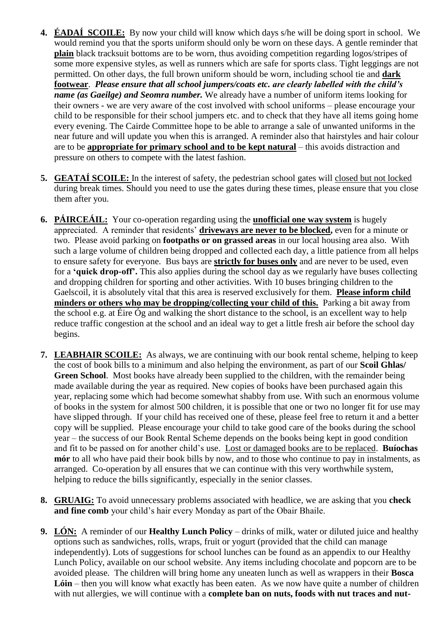- **4. ÉADAÍ SCOILE:** By now your child will know which days s/he will be doing sport in school. We would remind you that the sports uniform should only be worn on these days. A gentle reminder that **plain** black tracksuit bottoms are to be worn, thus avoiding competition regarding logos/stripes of some more expensive styles, as well as runners which are safe for sports class. Tight leggings are not permitted. On other days, the full brown uniform should be worn, including school tie and **dark footwear**. *Please ensure that all school jumpers/coats etc. are clearly labelled with the child's name (as Gaeilge) and Seomra number.* We already have a number of uniform items looking for their owners - we are very aware of the cost involved with school uniforms – please encourage your child to be responsible for their school jumpers etc. and to check that they have all items going home every evening. The Cairde Committee hope to be able to arrange a sale of unwanted uniforms in the near future and will update you when this is arranged. A reminder also that hairstyles and hair colour are to be **appropriate for primary school and to be kept natural** – this avoids distraction and pressure on others to compete with the latest fashion.
- **5. GEATAÍ SCOILE:** In the interest of safety, the pedestrian school gates will closed but not locked during break times. Should you need to use the gates during these times, please ensure that you close them after you.
- **6. PÁIRCEÁIL:** Your co-operation regarding using the **unofficial one way system** is hugely appreciated. A reminder that residents' **driveways are never to be blocked,** even for a minute or two. Please avoid parking on **footpaths or on grassed areas** in our local housing area also. With such a large volume of children being dropped and collected each day, a little patience from all helps to ensure safety for everyone. Bus bays are **strictly for buses only** and are never to be used, even for a **'quick drop-off'.** This also applies during the school day as we regularly have buses collecting and dropping children for sporting and other activities. With 10 buses bringing children to the Gaelscoil, it is absolutely vital that this area is reserved exclusively for them. **Please inform child minders or others who may be dropping/collecting your child of this.** Parking a bit away from the school e.g. at Éire Óg and walking the short distance to the school, is an excellent way to help reduce traffic congestion at the school and an ideal way to get a little fresh air before the school day begins.
- **7. LEABHAIR SCOILE:** As always, we are continuing with our book rental scheme, helping to keep the cost of book bills to a minimum and also helping the environment, as part of our **Scoil Ghlas/ Green School**. Most books have already been supplied to the children, with the remainder being made available during the year as required. New copies of books have been purchased again this year, replacing some which had become somewhat shabby from use. With such an enormous volume of books in the system for almost 500 children, it is possible that one or two no longer fit for use may have slipped through. If your child has received one of these, please feel free to return it and a better copy will be supplied. Please encourage your child to take good care of the books during the school year – the success of our Book Rental Scheme depends on the books being kept in good condition and fit to be passed on for another child's use. Lost or damaged books are to be replaced. **Buíochas mór** to all who have paid their book bills by now, and to those who continue to pay in instalments, as arranged. Co-operation by all ensures that we can continue with this very worthwhile system, helping to reduce the bills significantly, especially in the senior classes.
- **8. GRUAIG:** To avoid unnecessary problems associated with headlice, we are asking that you **check and fine comb** your child's hair every Monday as part of the Obair Bhaile.
- **9. LÓN:** A reminder of our **Healthy Lunch Policy** drinks of milk, water or diluted juice and healthy options such as sandwiches, rolls, wraps, fruit or yogurt (provided that the child can manage independently). Lots of suggestions for school lunches can be found as an appendix to our Healthy Lunch Policy, available on our school website. Any items including chocolate and popcorn are to be avoided please. The children will bring home any uneaten lunch as well as wrappers in their **Bosca Lóin** – then you will know what exactly has been eaten. As we now have quite a number of children with nut allergies, we will continue with a **complete ban on nuts, foods with nut traces and nut-**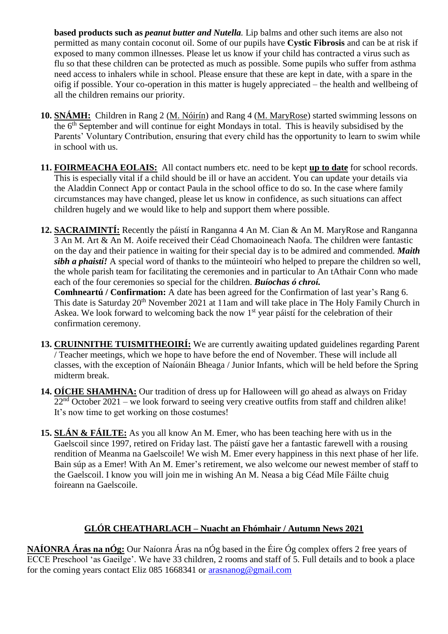**based products such as** *peanut butter and Nutella.* Lip balms and other such items are also not permitted as many contain coconut oil. Some of our pupils have **Cystic Fibrosis** and can be at risk if exposed to many common illnesses. Please let us know if your child has contracted a virus such as flu so that these children can be protected as much as possible. Some pupils who suffer from asthma need access to inhalers while in school. Please ensure that these are kept in date, with a spare in the oifig if possible. Your co-operation in this matter is hugely appreciated – the health and wellbeing of all the children remains our priority.

- **10. SNÁMH:** Children in Rang 2 (M. Nóirín) and Rang 4 (M. MaryRose) started swimming lessons on the 6<sup>th</sup> September and will continue for eight Mondays in total. This is heavily subsidised by the Parents' Voluntary Contribution, ensuring that every child has the opportunity to learn to swim while in school with us.
- **11. FOIRMEACHA EOLAIS:** All contact numbers etc. need to be kept **up to date** for school records. This is especially vital if a child should be ill or have an accident. You can update your details via the Aladdin Connect App or contact Paula in the school office to do so. In the case where family circumstances may have changed, please let us know in confidence, as such situations can affect children hugely and we would like to help and support them where possible.
- **12. SACRAIMINTÍ:** Recently the páistí in Ranganna 4 An M. Cian & An M. MaryRose and Ranganna 3 An M. Art & An M. Aoife received their Céad Chomaoineach Naofa. The children were fantastic on the day and their patience in waiting for their special day is to be admired and commended. *Maith sibh a phaistí!* A special word of thanks to the múinteoirí who helped to prepare the children so well, the whole parish team for facilitating the ceremonies and in particular to An tAthair Conn who made each of the four ceremonies so special for the children. *Buíochas ó chroí.*

**Comhneartú / Confirmation:** A date has been agreed for the Confirmation of last year's Rang 6. This date is Saturday 20<sup>th</sup> November 2021 at 11am and will take place in The Holy Family Church in Askea. We look forward to welcoming back the now 1<sup>st</sup> year páistí for the celebration of their confirmation ceremony.

- **13. CRUINNITHE TUISMITHEOIRÍ:** We are currently awaiting updated guidelines regarding Parent / Teacher meetings, which we hope to have before the end of November. These will include all classes, with the exception of Naíonáin Bheaga / Junior Infants, which will be held before the Spring midterm break.
- **14. OÍCHE SHAMHNA:** Our tradition of dress up for Halloween will go ahead as always on Friday  $22<sup>nd</sup> October 2021 – we look forward to seeing very creative outfits from staff and children alike!$ It's now time to get working on those costumes!
- **15. SLÁN & FÁILTE:** As you all know An M. Emer, who has been teaching here with us in the Gaelscoil since 1997, retired on Friday last. The páistí gave her a fantastic farewell with a rousing rendition of Meanma na Gaelscoile! We wish M. Emer every happiness in this next phase of her life. Bain súp as a Emer! With An M. Emer's retirement, we also welcome our newest member of staff to the Gaelscoil. I know you will join me in wishing An M. Neasa a big Céad Míle Fáilte chuig foireann na Gaelscoile.

## **GLÓR CHEATHARLACH – Nuacht an Fhómhair / Autumn News 2021**

**NAÍONRA Áras na nÓg:** Our Naíonra Áras na nÓg based in the Éire Óg complex offers 2 free years of ECCE Preschool 'as Gaeilge'. We have 33 children, 2 rooms and staff of 5. Full details and to book a place for the coming years contact Eliz 085 1668341 or [arasnanog@gmail.com](mailto:arasnanog@gmail.com)